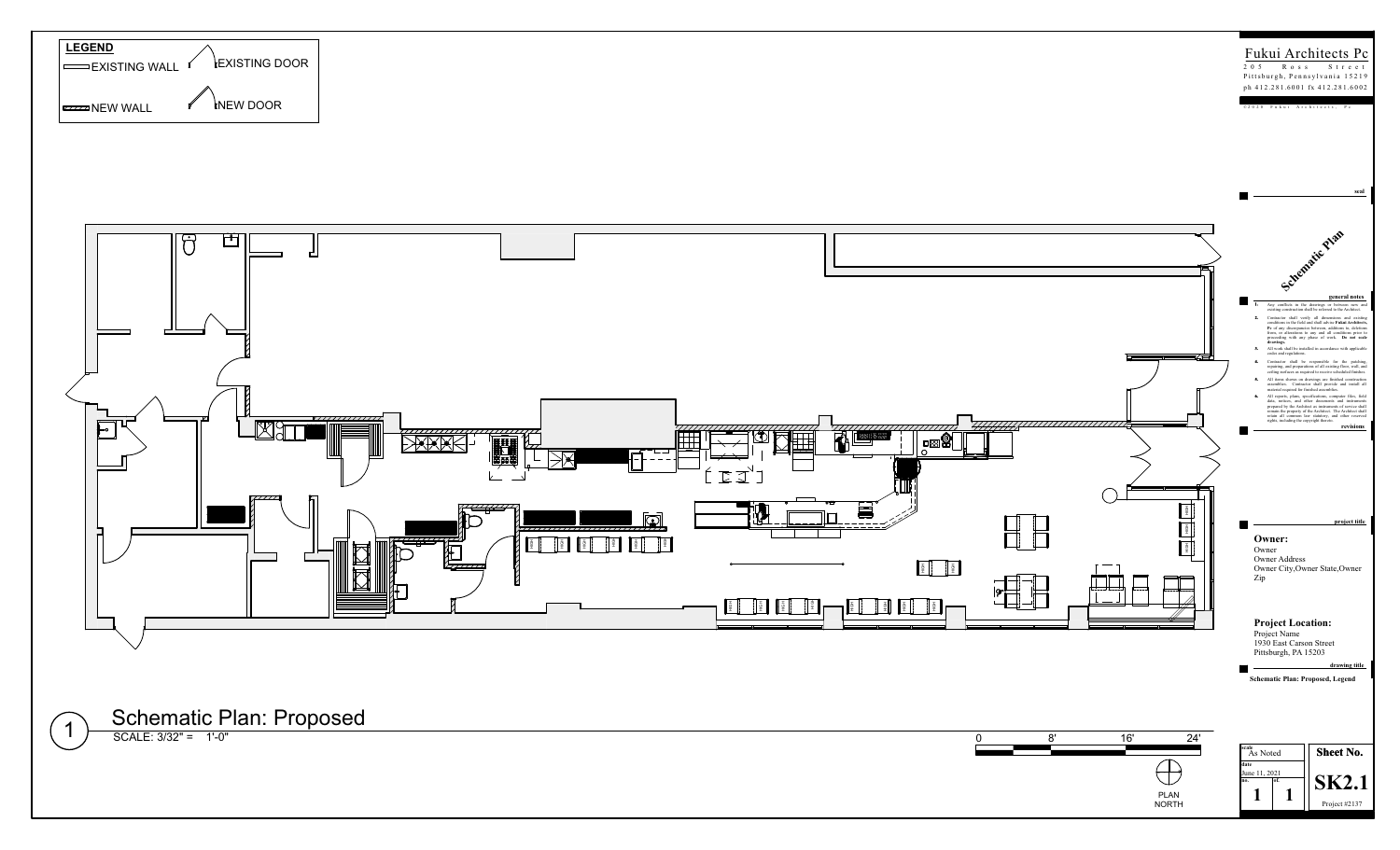